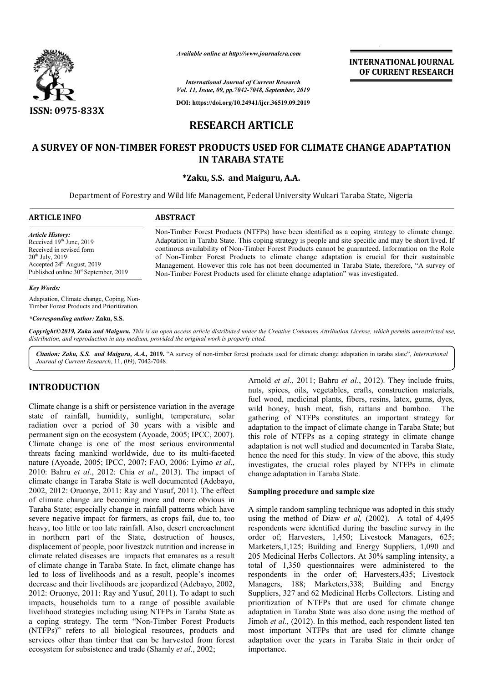

*Available online at http://www.journalcra.com*

**INTERNATIONAL JOURNAL OF CURRENT RESEARCH**

*International Journal of Current Research Vol. 11, Issue, 09, pp.7042-7048, September, 2019*

**DOI: https://doi.org/10.24941/ijcr.36519.09.2019**

# **RESEARCH ARTICLE**

# **A SURVEY OF NON-TIMBER FOREST PRODUCTS USED FOR CLIMATE CHANGE ADAPTATION TIMBER IN TARABA STATE CLIMATE CHANGE**

# **\*Zaku, S.S. and Maiguru, A.A.**

Department of Forestry and Wild life Management, Federal University Wukari Taraba State, Nigeria State,

# **ARTICLE INFO ABSTRACT**

*Article History:* Received 19<sup>th June</sup>, 2019 Received in revised form  $20^{th}$  July,  $2019$ Accepted 24<sup>th</sup> August, 2019 Published online  $30<sup>st</sup>$  September, 2019

#### *Key Words:*

Adaptation, Climate change, Coping, Non-Timber Forest Products and Prioritization.

#### *\*Corresponding author:* **Zaku, S.S.**

Copyright©2019, Zaku and Maiguru. This is an open access article distributed under the Creative Commons Attribution License, which permits unrestricted use, *distribution, and reproduction in any medium, provided the original work is properly cited.*

Citation: Zaku, S.S. and Maiguru, A.A., 2019. "A survey of non-timber forest products used for climate change adaptation in taraba state", *International Journal of Current Research*, 11, (09), 7042-7048.

# **INTRODUCTION**

Climate change is a shift or persistence variation in the average state of rainfall, humidity, sunlight, temperature, solar radiation over a period of 30 years with a visible and permanent sign on the ecosystem (Ayoade, 2005; IPCC, 2007). Climate change is one of the most serious environmental threats facing mankind worldwide, due to its multi-faceted nature (Ayoade, 2005; IPCC, 2007; FAO, 2006: Lyimo *et al*., 2010: Bahru *et al*., 2012: Chia *et al*., 2013). The impact of climate change in Taraba State is well documented (Adebayo, 2002, 2012: Oruonye, 2011: Ray and Yusuf, 2011). The effect of climate change are becoming more and more obvious in Taraba State; especially change in rainfall patterns which have severe negative impact for farmers, as crops fail, due to, too heavy, too little or too late rainfall. Also, desert encroachment in northern part of the State, destruction of houses, displacement of people, poor livestzck nutrition and increase in climate related diseases are impacts that emanates as a result of climate change in Taraba State. In fact, climate change has led to loss of livelihoods and as a result, people's incomes decrease and their livelihoods are jeopardized (Adebayo, 2002, 2012: Oruonye, 2011: Ray and Yusuf, 2011). To adapt to such impacts, households turn to a range of possible available livelihood strategies including using NTFPs in Taraba State as a coping strategy. The term "Non-Timber Forest Products (NTFPs)" refers to all biological resources, products and services other than timber that can be harvested from forest ecosystem for subsistence and trade (Shamly *et al*., 2002; nfall. Also, d<br>State, destru<br>ivestzck nutri<br>mpacts that e<br>itate. In fact,

Arnold *et al*., 2011; Bahru *et al* ., 2012). They include fruits, nuts, spices, oils, vegetables, crafts, construction materials, fuel wood, medicinal plants, fibers, resins, latex, gums, dyes, wild honey, bush meat, fish, rattans and bamboo. The gathering of NTFPs constitutes an important strategy for adaptation to the impact of climate change in Taraba State; but this role of NTFPs as a coping strategy in climate change this role of NTFPs as a coping strategy in climate change adaptation is not well studied and documented in Taraba State, hence the need for this study. In view of the above, this study investigates, the crucial roles played by NTFPs in climate change adaptation in Taraba State. is, oils, vegetables, crafts, construction materials, medicinal plants, fibers, resins, latex, gums, dyes, y, bush meat, fish, rattans and bamboo. The of NTFPs constitutes an important strategy for to the impact of climate

### **Sampling procedure and sample size sample size**

Non-Timber Forest Products (NTFPs) have been identified as a coping strategy to climate change. Adaptation in Taraba State. This coping strategy is people and site specific and may be short lived. If continous availability of Non-Timber Forest Products cannot be guaranteed. Information on the Role of Non Non-Timber Forest Products to climate change adaptation is crucial for their sustainable of Non-Timber Forest Products to climate change adaptation is crucial for their sustainable<br>Management. However this role has not been documented in Taraba State, therefore, "A survey of

Non-Timber Forest Products used for climate change adaptation" was investigated.

A simple random sampling technique was adopted in this study using the method of Diaw *et al,* (2002). A total of 4,495 respondents were identified during the baseline survey in the order of; Harvesters, 1,450; Livestock Managers, 625; order of; Harvesters, 1,450; Livestock Managers, 625; Marketers, 1,125; Building and Energy Suppliers, 1,090 and 205 Medicinal Herbs Collectors. At 30% sampling intensity, a total of 1,350 questionnaires were administered to the respondents in the order of; Harvesters,435; Livestock respondents in the order of; Harvesters,435; Livestock<br>Managers, 188; Marketers,338; Building and Energy Suppliers, 327 and 62 Medicinal Herbs Collectors. Listing and prioritization of NTFPs that are used for climate change adaptation in Taraba State was also done using the method of prioritization of NTFPs that are used for climate change adaptation in Taraba State was also done using the method of Jimoh *et al.*, (2012). In this method, each respondent listed ten most important NTFPs that are used for climate change adaptation over the years in Taraba State in their order of importance. **INTERNATIONAL JOURNAL**<br> **OF CURRENT RESEARCH**<br> **OF CURRENT RESEARCH**<br> **OF CURRENT RESEARCH**<br> **OF CURRENT RESEARCH**<br> **OF CURRENT RESEARCH**<br> **OF CURRENT RESEARCH**<br> **OF CURRENT RESEARCH**<br> **OF CURRENT ASSEMPTATION**<br> **OF CURRE**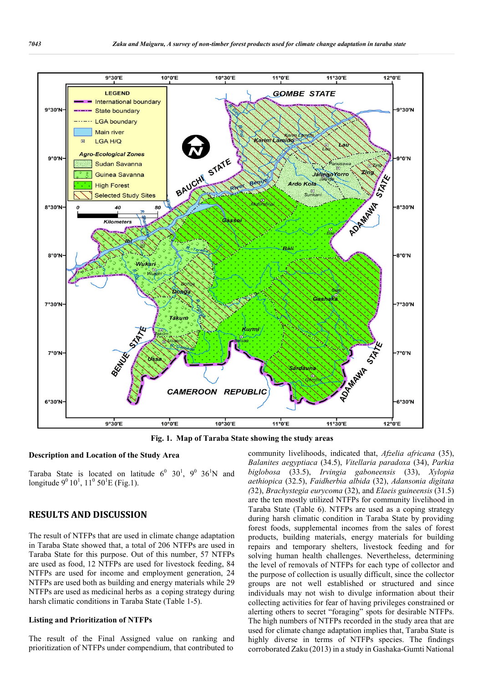

**Fig. 1. Map of Taraba State showing the study areas**

## **Description and Location of the Study Area**

Taraba State is located on latitude  $6^0$  30<sup>1</sup>, 9<sup>0</sup> 36<sup>1</sup>N and longitude  $9^0 10^1$ ,  $11^0 50^1$ E (Fig.1).

# **RESULTS AND DISCUSSION**

The result of NTFPs that are used in climate change adaptation in Taraba State showed that, a total of 206 NTFPs are used in Taraba State for this purpose. Out of this number, 57 NTFPs are used as food, 12 NTFPs are used for livestock feeding, 84 NTFPs are used for income and employment generation, 24 NTFPs are used both as building and energy materials while 29 NTFPs are used as medicinal herbs as a coping strategy during harsh climatic conditions in Taraba State (Table 1-5).

## **Listing and Prioritization of NTFPs**

The result of the Final Assigned value on ranking and prioritization of NTFPs under compendium, that contributed to

community livelihoods, indicated that, *Afzelia africana* (35), *Balanites aegyptiaca* (34.5), *Vitellaria paradoxa* (34), *Parkia biglobosa* (33.5), *Irvingia gaboneensis* (33), *Xylopia aethiopica* (32.5), *Faidherbia albida* (32), *Adansonia digitata (*32), *Brachystegia eurycoma* (32), and *Elaeis guineensis* (31.5) are the ten mostly utilized NTFPs for community livelihood in Taraba State (Table 6). NTFPs are used as a coping strategy during harsh climatic condition in Taraba State by providing forest foods, supplemental incomes from the sales of forest products, building materials, energy materials for building repairs and temporary shelters, livestock feeding and for solving human health challenges. Nevertheless, determining the level of removals of NTFPs for each type of collector and the purpose of collection is usually difficult, since the collector groups are not well established or structured and since individuals may not wish to divulge information about their collecting activities for fear of having privileges constrained or alerting others to secret "foraging" spots for desirable NTFPs. The high numbers of NTFPs recorded in the study area that are used for climate change adaptation implies that, Taraba State is highly diverse in terms of NTFPs species. The findings corroborated Zaku (2013) in a study in Gashaka-Gumti National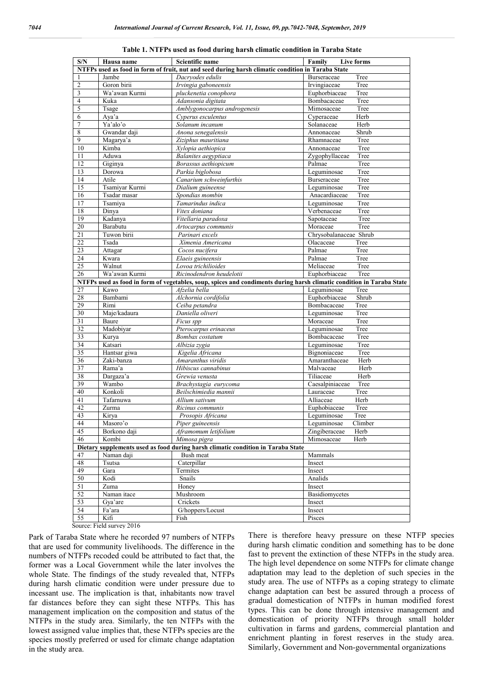| S/N                                                                                               | Hausa name           | Scientific name                                                                                                       | Live forms<br>Family                       |  |  |  |
|---------------------------------------------------------------------------------------------------|----------------------|-----------------------------------------------------------------------------------------------------------------------|--------------------------------------------|--|--|--|
| NTFPs used as food in form of fruit, nut and seed during harsh climatic condition in Taraba State |                      |                                                                                                                       |                                            |  |  |  |
| -1                                                                                                | Jambe                | Dacryodes edulis                                                                                                      | Tree<br>Burseraceae                        |  |  |  |
| $\overline{2}$                                                                                    | Goron birii          | Irvingia gaboneensis                                                                                                  | Tree<br>Irvingiaceae                       |  |  |  |
| $\overline{\mathbf{3}}$                                                                           | Wa'awan Kurmi        | pluckenetia conophora                                                                                                 | Euphorbiaceae<br>Tree                      |  |  |  |
| $\overline{\mathcal{L}}$                                                                          | Kuka                 | Adansonia digitata                                                                                                    | Bombacaceae<br>Tree                        |  |  |  |
| 5                                                                                                 | Tsage                | Amblygonocarpus androgenesis                                                                                          | Mimosaceae<br>Tree                         |  |  |  |
| $\overline{6}$                                                                                    | Aya'a                | Cyperus esculentus                                                                                                    | Cyperaceae<br>Herb                         |  |  |  |
| $\tau$                                                                                            | Ya'alo'o             | Solanum incanum                                                                                                       | Solanaceae<br>Herb                         |  |  |  |
| 8                                                                                                 | Gwandar daji         | Anona senegalensis                                                                                                    | Shrub<br>Annonaceae                        |  |  |  |
| 9                                                                                                 | Magarya'a            | Ziziphus mauritiana                                                                                                   | Rhamnaceae<br>Tree                         |  |  |  |
| 10                                                                                                | Kimba                | Xylopia aethiopica                                                                                                    | Annonaceae<br>Tree                         |  |  |  |
| 11                                                                                                | Aduwa                | <b>Balanites</b> aegyptiaca                                                                                           | Zygophyllaceae<br>Tree                     |  |  |  |
| 12                                                                                                | Giginya              | Borassus aethiopicum                                                                                                  | Palmae<br>Tree                             |  |  |  |
| 13                                                                                                | Dorowa               | Parkia biglobosa                                                                                                      | Leguminosae<br>Tree                        |  |  |  |
| 14                                                                                                | Atile                | Canarium schweinfurthis                                                                                               | Burseraceae<br>Tree                        |  |  |  |
| 15                                                                                                | Tsamiyar Kurmi       | Dialium guineense                                                                                                     | Leguminosae<br>Tree                        |  |  |  |
| 16                                                                                                | Tsadar masar         | Spondias mombin                                                                                                       | Anacardiaceae<br>Tree                      |  |  |  |
| 17                                                                                                | Tsamiya              | Tamarindus indica                                                                                                     | Leguminosae<br>Tree                        |  |  |  |
| 18                                                                                                | Dinya                | Vitex doniana                                                                                                         | Verbenaceae<br>Tree                        |  |  |  |
| 19                                                                                                | Kadanya              | Vitellaria paradoxa                                                                                                   | Tree<br>Sapotaceae                         |  |  |  |
| 20                                                                                                | Barabutu             | Artocarpus communis                                                                                                   | Moraceae<br>Tree                           |  |  |  |
| 21                                                                                                | Tuwon birii          | Parinari excels                                                                                                       | Chrysobalanaceae Shrub                     |  |  |  |
| $\overline{22}$                                                                                   | Tsada                | Ximenia Americana                                                                                                     | Olacaceae<br>Tree                          |  |  |  |
| 23                                                                                                | Attagar              | Cocos nucifera                                                                                                        | Palmae<br>Tree                             |  |  |  |
| 24                                                                                                | Kwara                | Elaeis guineensis                                                                                                     | Palmae<br>Tree                             |  |  |  |
| 25                                                                                                | Walnut               | Lovoa trichilioides                                                                                                   | Meliaceae<br>Tree                          |  |  |  |
| 26                                                                                                | Wa'awan Kurmi        | Ricinodendron heudelotii                                                                                              | Euphorbiaceae<br>Tree                      |  |  |  |
|                                                                                                   |                      | NTFPs used as food in form of vegetables, soup, spices and condiments during harsh climatic condition in Taraba State |                                            |  |  |  |
| 27                                                                                                | Kawo<br>Bambami      | Afzelia bella                                                                                                         | Leguminosae<br>Tree<br>Shrub               |  |  |  |
| 28                                                                                                |                      | Alchornia cordifolia                                                                                                  | Euphorbiaceae                              |  |  |  |
| 29<br>30                                                                                          | Rimi<br>Maje/kadaura | Ceiba petandra<br>Daniella oliveri                                                                                    | Bombacaceae<br>Tree<br>Leguminosae<br>Tree |  |  |  |
| 31                                                                                                | Baure                | $\overline{F}$ icus spp                                                                                               | Moraceae<br>Tree                           |  |  |  |
| 32                                                                                                | Madobiyar            | Pterocarpus erinaceus                                                                                                 | Leguminosae<br>Tree                        |  |  |  |
| 33                                                                                                | Kurya                | Bombax costatum                                                                                                       | Bombacaceae<br>Tree                        |  |  |  |
| 34                                                                                                | Katsari              | Albizia zygia                                                                                                         | Leguminosae<br>Tree                        |  |  |  |
| 35                                                                                                | Hantsar giwa         | Kigelia Africana                                                                                                      | Bignoniaceae<br>Tree                       |  |  |  |
| 36                                                                                                | Zaki-banza           | Amaranthus viridis                                                                                                    | Amaranthaceae<br>Herb                      |  |  |  |
| 37                                                                                                | Rama'a               | Hibiscus cannabinus                                                                                                   | Herb<br>Malvaceae                          |  |  |  |
| 38                                                                                                | Dargaza'a            | Grewia venusta                                                                                                        | Tiliaceae<br>Herb                          |  |  |  |
| 39                                                                                                | Wambo                | Brachystagia eurycoma                                                                                                 | Caesalpiniaceae<br>Tree                    |  |  |  |
| 40                                                                                                | Konkoli              | Beilschimiedia mannii                                                                                                 | Lauraceae<br>Tree                          |  |  |  |
| 41                                                                                                | Tafarnuwa            | Allium sativum                                                                                                        | Alliaceae<br>Herb                          |  |  |  |
| 42                                                                                                | Zurma                | Ricinus communis                                                                                                      | Euphobiaceae<br>Tree                       |  |  |  |
| 43                                                                                                | Kirya                | Prosopis Africana                                                                                                     | Leguminosae<br>Tree                        |  |  |  |
| 44                                                                                                | Masoro'o             | Piper guineensis                                                                                                      | Leguminosae<br>Climber                     |  |  |  |
| 45                                                                                                | Borkono daji         | Aframomum letifolium                                                                                                  | Zingiberaceae<br>Herb                      |  |  |  |
| 46                                                                                                | Kombi                | Mimosa pigra                                                                                                          | Mimosaceae<br>Herb                         |  |  |  |
|                                                                                                   |                      | Dietary supplements used as food during harsh climatic condition in Taraba State                                      |                                            |  |  |  |
| 47                                                                                                | Naman daji           | Bush meat                                                                                                             | Mammals                                    |  |  |  |
| 48                                                                                                | Tsutsa               | Caterpillar                                                                                                           | Insect                                     |  |  |  |
| 49                                                                                                | Gara                 | Termites                                                                                                              | Insect                                     |  |  |  |
| 50                                                                                                | Kodi                 | Snails                                                                                                                | Analids                                    |  |  |  |
| 51                                                                                                | Zuma                 | Honey                                                                                                                 | Insect                                     |  |  |  |
| 52                                                                                                | Naman itace          | Mushroom                                                                                                              | Basidiomycetes                             |  |  |  |
| 53                                                                                                | Gya'are              | Crickets                                                                                                              | Insect                                     |  |  |  |
| 54                                                                                                | Fa'ara               | G/hoppers/Locust                                                                                                      | Insect                                     |  |  |  |
| 55                                                                                                | Kifi                 | Fish                                                                                                                  | Pisces                                     |  |  |  |
|                                                                                                   |                      |                                                                                                                       |                                            |  |  |  |

**Table 1. NTFPs used as food during harsh climatic condition in Taraba State**

Source: Field survey 2016

Park of Taraba State where he recorded 97 numbers of NTFPs that are used for community livelihoods. The difference in the numbers of NTFPs recoded could be attributed to fact that, the former was a Local Government while the later involves the whole State. The findings of the study revealed that, NTFPs during harsh climatic condition were under pressure due to incessant use. The implication is that, inhabitants now travel far distances before they can sight these NTFPs. This has management implication on the composition and status of the NTFPs in the study area. Similarly, the ten NTFPs with the lowest assigned value implies that, these NTFPs species are the species mostly preferred or used for climate change adaptation in the study area.

There is therefore heavy pressure on these NTFP species during harsh climatic condition and something has to be done fast to prevent the extinction of these NTFPs in the study area. The high level dependence on some NTFPs for climate change adaptation may lead to the depletion of such species in the study area. The use of NTFPs as a coping strategy to climate change adaptation can best be assured through a process of gradual domestication of NTFPs in human modified forest types. This can be done through intensive management and domestication of priority NTFPs through small holder cultivation in farms and gardens, commercial plantation and enrichment planting in forest reserves in the study area. Similarly, Government and Non-governmental organizations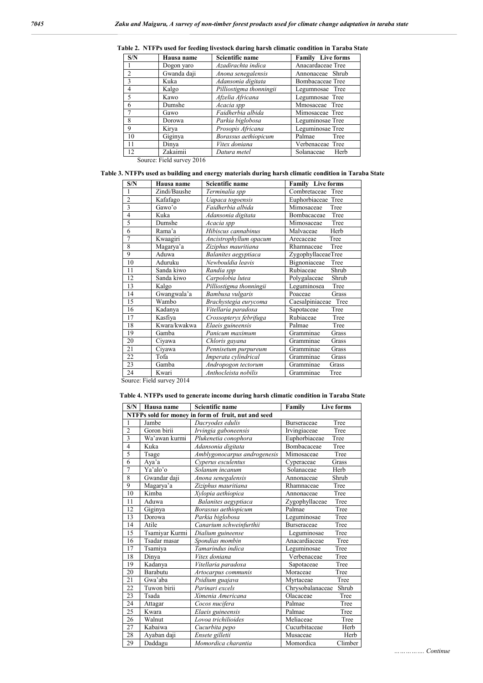| S/N                     | Hausa name  | Scientific name         | <b>Family</b> Live forms |  |  |
|-------------------------|-------------|-------------------------|--------------------------|--|--|
|                         | Dogon yaro  | Azadirachta indica      | Anacardaceae Tree        |  |  |
| $\mathfrak{D}$          | Gwanda daji | Anona senegalensis      | Annonaceae Shrub         |  |  |
| 3                       | Kuka        | Adansonia digitata      | Bombacaceae Tree         |  |  |
| $\overline{4}$          | Kalgo       | Pilliostigma thonningii | Legumnosae Tree          |  |  |
| 5                       | Kawo        | Afzelia Africana        | Legumnosae Tree          |  |  |
| 6                       | Dumshe      | Acacia spp              | Mmosaceae Tree           |  |  |
|                         | Gawo        | Faidherbia albida       | Mimosaceae Tree          |  |  |
| 8                       | Dorowa      | Parkia biglobosa        | Leguminosae Tree         |  |  |
| 9                       | Kirya       | Prosopis Africana       | Leguminosae Tree         |  |  |
| 10                      | Giginya     | Borassus aethiopicum    | Palmae<br>Tree           |  |  |
| $-11$                   | Dinya       | Vitex doniana           | Verbenaceae Tree         |  |  |
| 12                      | Zakaimii    | Datura metel            | Solanaceae<br>Herb       |  |  |
| $C = \Gamma' 11$ $2017$ |             |                         |                          |  |  |

**Table 2. NTFPs used for feeding livestock during harsh climatic condition in Taraba State**

Source: Field survey 2016

**Table 3. NTFPs used as building and energy materials during harsh climatic condition in Taraba State**

| S/N            | Hausa name   | <b>Scientific name</b>  | <b>Family</b> Live forms |
|----------------|--------------|-------------------------|--------------------------|
| 1              | Zindi/Baushe | Terminalia spp          | Combretaceae<br>Tree     |
| $\overline{2}$ | Kafafago     | Uapaca togoensis        | Euphorbiaceae Tree       |
| 3              | Gawo'o       | Faidherbia albida       | Mimosaceae<br>Tree       |
| $\overline{4}$ | Kuka         | Adansonia digitata      | Tree<br>Bombacaceae      |
| 5              | Dumshe       | Acacia spp              | Tree<br>Mimosaceae       |
| 6              | Rama'a       | Hibiscus cannabinus     | Malvaceae<br>Herb        |
| $\overline{7}$ | Kwaagiri     | Ancistrophyllum opacum  | Tree<br>Arecaceae        |
| 8              | Magarya'a    | Ziziphus mauritiana     | Tree<br>Rhamnaceae       |
| 9              | Aduwa        | Balanites aegyptiaca    | ZygophyllaceaeTree       |
| 10             | Aduruku      | Newbouldia leavis       | Bignoniaceae<br>Tree     |
| 11             | Sanda kiwo   | Randia spp              | Rubiaceae<br>Shrub       |
| 12             | Sanda kiwo   | Carpolobia lutea        | Polygalaceae<br>Shrub    |
| 13             | Kalgo        | Pilliostigma thonningii | Leguminosea<br>Tree      |
| 14             | Gwangwala'a  | Bambusa vulgaris        | Poaceae<br>Grass         |
| 15             | Wambo        | Brachystegia eurycoma   | Caesalpiniaceae<br>Tree  |
| 16             | Kadanya      | Vitellaria paradoxa     | Tree<br>Sapotaceae       |
| 17             | Kasfiya      | Crossopteryx febrifuga  | Rubiaceae<br>Tree        |
| 18             | Kwara/kwakwa | Elaeis guineensis       | Tree<br>Palmae           |
| 19             | Gamba        | Panicum maximum         | Gramminae<br>Grass       |
| 20             | Ciyawa       | Chloris gayana          | Gramminae<br>Grass       |
| 21             | Ciyawa       | Pennisetum purpureum    | Gramminae<br>Grass       |
| 22             | Tofa         | Imperata cylindrical    | Gramminae<br>Grass       |
| 23             | Gamba        | Andropogon tectorum     | Gramminae<br>Grass       |
| 24             | Kwari        | Anthocleista nobilis    | Tree<br>Gramminae        |

Source: Field survey 2014

| Table 4. NTFPs used to generate income during harsh climatic condition in Taraba State |  |  |
|----------------------------------------------------------------------------------------|--|--|
|                                                                                        |  |  |

| S/N                       | Hausa name                                          | <b>Scientific name</b>       | Family           | <b>Live forms</b> |  |  |
|---------------------------|-----------------------------------------------------|------------------------------|------------------|-------------------|--|--|
|                           | NTFPs sold for money in form of fruit, nut and seed |                              |                  |                   |  |  |
| 1                         | Jambe                                               | Dacryodes edulis             | Burseraceae      | Tree              |  |  |
| $\overline{2}$            | Goron birii                                         | Irvingia gaboneensis         | Irvingiaceae     | Tree              |  |  |
| $\overline{\overline{3}}$ | Wa'awan kurmi                                       | Plukenetia conophora         | Euphorbiaceae    | Tree              |  |  |
| $\overline{4}$            | Kuka                                                | Adansonia digitata           | Bombacaceae      | Tree              |  |  |
| 5                         | Tsage                                               | Amblygonocarpus androgenesis | Mimosaceae       | Tree              |  |  |
| 6                         | Aya'a                                               | Cyperus esculentus           | Cyperaceae       | Grass             |  |  |
| $\overline{7}$            | Ya'alo'o                                            | Solanum incanum              | Solanaceae       | Herb              |  |  |
| 8                         | Gwandar daji                                        | Anona senegalensis           | Annonaceae       | Shrub             |  |  |
| 9                         | Magarya'a                                           | Ziziphus mauritiana          | Rhamnaceae       | Tree              |  |  |
| 10                        | Kimba                                               | Xylopia aethiopica           | Annonaceae       | Tree              |  |  |
| 11                        | Aduwa                                               | Balanites aegyptiaca         | Zygophyllaceae   | Tree              |  |  |
| 12                        | Giginya                                             | Borassus aethiopicum         | Palmae           | Tree              |  |  |
| 13                        | Dorowa                                              | Parkia biglobosa             | Leguminosae      | Tree              |  |  |
| 14                        | Atile                                               | Canarium schweinfurthii      | Burseraceae      | Tree              |  |  |
| 15                        | Tsamiyar Kurmi                                      | Dialium guineense            | Leguminosae      | Tree              |  |  |
| 16                        | Tsadar masar                                        | Spondias mombin              | Anacardiaceae    | Tree              |  |  |
| 17                        | Tsamiya                                             | Tamarindus indica            | Leguminosae      | Tree              |  |  |
| 18                        | Dinya                                               | Vitex doniana                | Verbenaceae      | Tree              |  |  |
| 19                        | Kadanya                                             | Vitellaria paradoxa          | Sapotaceae       | Tree              |  |  |
| 20                        | Barabutu                                            | Artocarpus communis          | Moraceae         | Tree              |  |  |
| 21                        | Gwa'aba                                             | Psidium guajava              | Myrtaceae        | Tree              |  |  |
| 22                        | Tuwon birii                                         | Parinari excels              | Chrysobalanaceae | Shrub             |  |  |
| 23                        | Tsada                                               | Ximenia Americana            | Olacaceae        | Tree              |  |  |
| 24                        | Attagar                                             | Cocos nucifera               | Palmae           | Tree              |  |  |
| 25                        | Kwara                                               | Elaeis guineensis            | Palmae           | Tree              |  |  |
| 26                        | Walnut                                              | Lovoa trichilioides          | Meliaceae        | Tree              |  |  |
| 27                        | Kabaiwa                                             | Cucurbita pepo               | Cucurbitaceae    | Herb              |  |  |
| 28                        | Ayaban daji                                         | Ensete gilletii              | Musaceae         | Herb              |  |  |
| 29                        | Daddagu                                             | Momordica charantia          | Momordica        | Climber           |  |  |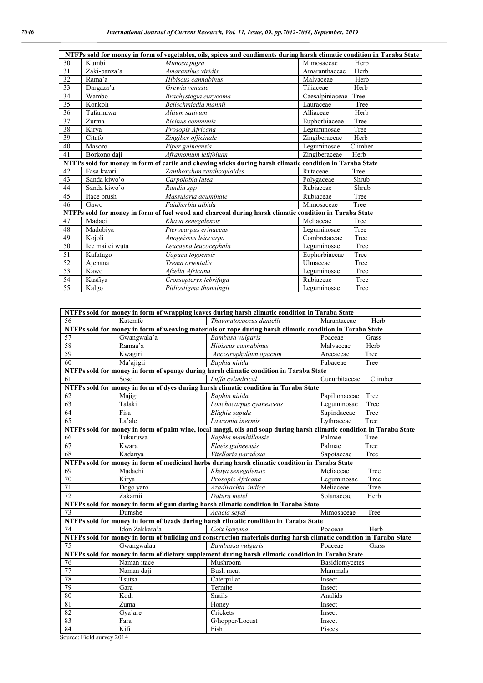|                 | NTFPs sold for money in form of vegetables, oils, spices and condiments during harsh climatic condition in Taraba State |                                                                                                           |                                     |  |  |  |  |
|-----------------|-------------------------------------------------------------------------------------------------------------------------|-----------------------------------------------------------------------------------------------------------|-------------------------------------|--|--|--|--|
| 30              | Kumbi                                                                                                                   | Mimosa pigra                                                                                              | Mimosaceae<br>Herb                  |  |  |  |  |
| 31              | Zaki-banza'a                                                                                                            | Amaranthus viridis                                                                                        | Herb<br>Amaranthaceae               |  |  |  |  |
| 32              | Rama'a                                                                                                                  | Hibiscus cannabinus                                                                                       | Malvaceae<br>Herb                   |  |  |  |  |
| 33              | Dargaza'a                                                                                                               | Grewia venusta                                                                                            | Tiliaceae<br>Herb                   |  |  |  |  |
| 34              | Wambo                                                                                                                   | Brachystegia eurycoma                                                                                     | Caesalpiniaceae<br>Tree             |  |  |  |  |
| 35              | Konkoli                                                                                                                 | Beilschmiedia mannii                                                                                      | Lauraceae<br>Tree                   |  |  |  |  |
| 36              | Tafarnuwa                                                                                                               | Allium sativum                                                                                            | Alliaceae<br>Herb                   |  |  |  |  |
| 37              | Zurma                                                                                                                   | Ricinus communis                                                                                          | Euphorbiaceae<br>Tree               |  |  |  |  |
| $\overline{38}$ | Kirya                                                                                                                   | Prosopis Africana                                                                                         | Leguminosae<br>Tree                 |  |  |  |  |
| 39              | Citafo                                                                                                                  | Zingiber officinale                                                                                       | Zingiberaceae<br>Herb               |  |  |  |  |
| 40              | Masoro                                                                                                                  | Piper guineensis                                                                                          | Climber<br>Leguminosae              |  |  |  |  |
| 41              | Borkono daji                                                                                                            | Aframomum letifolium                                                                                      | $\overline{Z}$ ingiberaceae<br>Herb |  |  |  |  |
|                 |                                                                                                                         | NTFPs sold for money in form of cattle and chewing sticks during harsh climatic condition in Taraba State |                                     |  |  |  |  |
| 42              | Fasa kwari                                                                                                              | Zanthoxylum zanthoxyloides                                                                                | Rutaceae<br>Tree                    |  |  |  |  |
| 43              | Sanda kiwo'o                                                                                                            | Carpolobia lutea                                                                                          | Shrub<br>Polygaceae                 |  |  |  |  |
| 44              | Sanda kiwo'o                                                                                                            | Randia spp                                                                                                | Rubiaceae<br>Shrub                  |  |  |  |  |
| 45              | Itace brush                                                                                                             | Massularia acuminate                                                                                      | Rubiaceae<br>Tree                   |  |  |  |  |
| 46              | Gawo                                                                                                                    | Faidherbia albida                                                                                         | Mimosaceae<br>Tree                  |  |  |  |  |
|                 |                                                                                                                         | NTFPs sold for money in form of fuel wood and charcoal during harsh climatic condition in Taraba State    |                                     |  |  |  |  |
| 47              | Madaci                                                                                                                  | Khaya senegalensis                                                                                        | Meliaceae<br>Tree                   |  |  |  |  |
| 48              | Madobiya                                                                                                                | Pterocarpus erinaceus                                                                                     | Leguminosae<br>Tree                 |  |  |  |  |
| 49              | Kojoli                                                                                                                  | Anogeissus leiocarpa                                                                                      | Combretaceae<br>Tree                |  |  |  |  |
| 50              | Ice mai ci wuta                                                                                                         | Leucaena leucocephala                                                                                     | Leguminosae<br>Tree                 |  |  |  |  |
| 51              | Kafafago                                                                                                                | Uapaca togoensis                                                                                          | Euphorbiaceae<br>Tree               |  |  |  |  |
| 52              | Ajenana                                                                                                                 | Trema orientalis                                                                                          | Tree<br>Ulmaceae                    |  |  |  |  |
| 53              | Kawo                                                                                                                    | Afzelia Africana                                                                                          | Leguminosae<br>Tree                 |  |  |  |  |
| 54              | Kasfiya                                                                                                                 | Crossopteryx febrifuga                                                                                    | Rubiaceae<br>Tree                   |  |  |  |  |
| 55              | Kalgo                                                                                                                   | Pilliostigma thonningii                                                                                   | Tree<br>Leguminosae                 |  |  |  |  |

| NTFPs sold for money in form of wrapping leaves during harsh climatic condition in Taraba State |                                                           |                                                                                                                       |                |         |  |  |
|-------------------------------------------------------------------------------------------------|-----------------------------------------------------------|-----------------------------------------------------------------------------------------------------------------------|----------------|---------|--|--|
| 56                                                                                              | Katemfe<br>Thaumatococcus danielli<br>Marantaceae<br>Herb |                                                                                                                       |                |         |  |  |
|                                                                                                 |                                                           | NTFPs sold for money in form of weaving materials or rope during harsh climatic condition in Taraba State             |                |         |  |  |
| 57                                                                                              | Gwangwala'a                                               | Bambusa vulgaris                                                                                                      | Poaceae        | Grass   |  |  |
| 58                                                                                              | Ramaa'a                                                   | Hibiscus cannabinus                                                                                                   | Malvaceae      | Herb    |  |  |
| 59                                                                                              | Kwagiri                                                   | Ancistrophyllum opacum                                                                                                | Arecaceae      | Tree    |  |  |
| 60                                                                                              | Ma'ajigii                                                 | Baphia nitida                                                                                                         | Fabaceae       | Tree    |  |  |
|                                                                                                 |                                                           | NTFPs sold for money in form of sponge during harsh climatic condition in Taraba State                                |                |         |  |  |
| 61                                                                                              | Soso                                                      | Luffa cylindrical                                                                                                     | Cucurbitaceae  | Climber |  |  |
|                                                                                                 |                                                           | NTFPs sold for money in form of dyes during harsh climatic condition in Taraba State                                  |                |         |  |  |
| 62                                                                                              | Majigi                                                    | Baphia nitida                                                                                                         | Papilionaceae  | Tree    |  |  |
| 63                                                                                              | Talaki                                                    | Lonchocarpus cyanescens                                                                                               | Leguminosae    | Tree    |  |  |
| 64                                                                                              | Fisa                                                      | Blighia sapida                                                                                                        | Sapindaceae    | Tree    |  |  |
| 65                                                                                              | La'ale                                                    | Lawsonia inermis                                                                                                      | Lythraceae     | Tree    |  |  |
|                                                                                                 |                                                           | NTFPs sold for money in form of palm wine, local maggi, oils and soap during harsh climatic condition in Taraba State |                |         |  |  |
| 66                                                                                              | Tukuruwa                                                  | Raphia mambillensis                                                                                                   | Palmae         | Tree    |  |  |
| 67                                                                                              | Kwara                                                     | Elaeis guineensis                                                                                                     | Palmae         | Tree    |  |  |
| $\overline{68}$                                                                                 | Kadanya                                                   | Vitellaria paradoxa                                                                                                   | Sapotaceae     | Tree    |  |  |
|                                                                                                 |                                                           | NTFPs sold for money in form of medicinal herbs during harsh climatic condition in Taraba State                       |                |         |  |  |
| 69                                                                                              | Madachi                                                   | Khaya senegalensis                                                                                                    | Meliaceae      | Tree    |  |  |
| 70                                                                                              | Kirya                                                     | Prosopis Africana                                                                                                     | Leguminosae    | Tree    |  |  |
| 71                                                                                              | Dogo yaro                                                 | Azadirachta indica                                                                                                    | Meliaceae      | Tree    |  |  |
| $\overline{72}$                                                                                 | Zakamii                                                   | Datura metel                                                                                                          | Solanaceae     | Herb    |  |  |
|                                                                                                 |                                                           | NTFPs sold for money in form of gum during harsh climatic condition in Taraba State                                   |                |         |  |  |
| 73                                                                                              | Dumshe                                                    | Acacia seval                                                                                                          | Mimosaceae     | Tree    |  |  |
|                                                                                                 |                                                           | NTFPs sold for money in form of beads during harsh climatic condition in Taraba State                                 |                |         |  |  |
| 74                                                                                              | Idon Zakkara'a                                            | Coix lacryma                                                                                                          | Poaceae        | Herb    |  |  |
|                                                                                                 |                                                           | NTFPs sold for money in form of building and construction materials during harsh climatic condition in Taraba State   |                |         |  |  |
| 75                                                                                              | Gwangwalaa                                                | Bambussa vulgaris                                                                                                     | Poaceae        | Grass   |  |  |
|                                                                                                 |                                                           | NTFPs sold for money in form of dietary supplement during harsh climatic condition in Taraba State                    |                |         |  |  |
| 76                                                                                              | Naman itace                                               | Mushroom                                                                                                              | Basidiomycetes |         |  |  |
| 77                                                                                              | Naman daji                                                | <b>Bush meat</b>                                                                                                      | Mammals        |         |  |  |
| 78                                                                                              | Tsutsa                                                    | Caterpillar                                                                                                           | Insect         |         |  |  |
| 79                                                                                              | Gara                                                      | Termite                                                                                                               | Insect         |         |  |  |
| 80                                                                                              | Kodi                                                      | Snails                                                                                                                | Analids        |         |  |  |
| 81                                                                                              | Zuma                                                      | Honey                                                                                                                 | Insect         |         |  |  |
| 82                                                                                              | Gya'are                                                   | Crickets                                                                                                              | Insect         |         |  |  |
| 83                                                                                              | Fara                                                      | G/hopper/Locust                                                                                                       | Insect         |         |  |  |
| $\overline{84}$                                                                                 | Kifi                                                      | Fish                                                                                                                  | Pisces         |         |  |  |

Source: Field survey 2014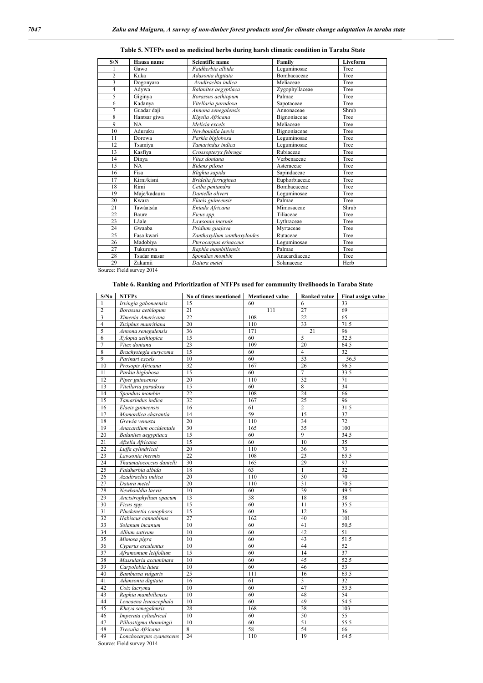| S/N            | Hausa name   | <b>Scientific name</b>      | Family             | Liveform |
|----------------|--------------|-----------------------------|--------------------|----------|
|                | Gawo         | Faidherbia albida           | Leguminosae        | Tree     |
| $\overline{c}$ | Kuka         | Adasonia digitata           | <b>Bombacaceae</b> | Tree     |
| 3              | Dogonyaro    | Azadirachta indica          | Meliaceae          | Tree     |
| $\overline{4}$ | Adywa        | Balanites aegyptiaca        | Zygophyllaceae     | Tree     |
| 5              | Giginya      | Borassus aethiopum          | Palmae             | Tree     |
| 6              | Kadanya      | Vitellaria paradoxa         | Sapotaceae         | Tree     |
| $\overline{7}$ | Guadar daji  | Annona senegalensis         | Annonaceae         | Shrub    |
| 8              | Hantsar giwa | Kigelia Africana            | Bignoniaceae       | Tree     |
| 9              | NA           | Melicia excels              | Meliaceae          | Tree     |
| 10             | Aduruku      | Newbouldia laevis           | Bignoniaceae       | Tree     |
| 11             | Dorowa       | Parkia biglobosa            | Leguminosae        | Tree     |
| 12             | Tsamiya      | Tamarindus indica           | Leguminosae        | Tree     |
| 13             | Kasfiya      | Crossopteryx februga        | Rubiaceae          | Tree     |
| 14             | Dinya        | Vitex doniana               | Verbenaceae        | Tree     |
| 15             | <b>NA</b>    | Bidens pilosa               | Asteraceae         | Tree     |
| 16             | Fisa         | Blighia sapida              | Sapindaceae        | Tree     |
| 17             | Kirni/kisni  | Bridelia ferruginea         | Euphorbiaceae      | Tree     |
| 18             | Rimi         | Ceiba pentandra             | Bombacaceae        | Tree     |
| 19             | Maje/kadaura | Daniella oliveri            | Leguminosae        | Tree     |
| 20             | Kwara        | Elaeis guineensis           | Palmae             | Tree     |
| 21             | Tawáatsáa    | Entada Africana             | Mimosaceae         | Shrub    |
| 22             | Baure        | Ficus spp.                  | Tiliaceae          | Tree     |
| 23             | Láale        | Lawsonia inermis            | Lythraceae         | Tree     |
| 24             | Gwaaba       | Psidium guajava             | Myrtaceae          | Tree     |
| 25             | Fasa kwari   | Zanthoxyllum xanthoxyloides | Rutaceae           | Tree     |
| 26             | Madobiya     | Pterocarpus erinaceus       | Leguminosae        | Tree     |
| 27             | Tukuruwa     | Raphia mambillensis         | Palmae             | Tree     |
| 28             | Tsadar masar | Spondias mombin             | Anacardiaceae      | Tree     |
| 29             | Zakamii      | Datura metel                | Solanaceae         | Herb     |

**Table 5. NTFPs used as medicinal herbs during harsh climatic condition in Taraba State**

Source: Field survey 2014

**Table 6. Ranking and Prioritization of NTFPs used for community livelihoods in Taraba State**

| S/No                     | <b>NTFPs</b>            | No of times mentioned | <b>Mentioned value</b> | <b>Ranked value</b> | Final assign value |
|--------------------------|-------------------------|-----------------------|------------------------|---------------------|--------------------|
| $\mathbf{1}$             | Irvingia gaboneensis    | 15                    | 60                     | 6                   | 33                 |
| $\overline{c}$           | Borassus aethiopum      | 21                    | 111                    | 27                  | 69                 |
| $\overline{\mathbf{3}}$  | Ximenia Americana       | 22                    | 108                    | 22                  | 65                 |
| $\overline{4}$           | Ziziphus mauritiana     | 20                    | 110                    | 33                  | 71.5               |
| 5                        | Annona senegalensis     | 36                    | 171                    | 21                  | 96                 |
| 6                        | Xylopia aethiopica      | 15                    | 60                     | 5                   | 32.5               |
| $\overline{\mathcal{I}}$ | Vitex doniana           | 23                    | 109                    | 20                  | 64.5               |
| 8                        | Brachystegia eurycoma   | 15                    | 60                     | $\overline{4}$      | 32                 |
| $\overline{9}$           | Parinari excels         | 10                    | 60                     | 53                  | 56.5               |
| 10                       | Prosopis Africana       | 32                    | 167                    | 26                  | 96.5               |
| 11                       | Parkia biglobosa        | $\overline{15}$       | 60                     | $\overline{7}$      | 33.5               |
| 12                       | Piper guineensis        | 20                    | 110                    | 32                  | 71                 |
| 13                       | Vitellaria paradoxa     | 15                    | 60                     | 8                   | 34                 |
| 14                       | Spondias mombin         | $\overline{22}$       | 108                    | 24                  | 66                 |
| 15                       | Tamarindus indica       | 32                    | 167                    | 25                  | 96                 |
| 16                       | Elaeis guineensis       | 16                    | 61                     | $\overline{2}$      | 31.5               |
| 17                       | Momordica charantia     | 14                    | 59                     | 15                  | 37                 |
| 18                       | Grewia venusta          | 20                    | 110                    | 34                  | 72                 |
| 19                       | Anacardium occidentale  | 30                    | 165                    | 35                  | 100                |
| 20                       | Balanites aegyptiaca    | 15                    | 60                     | $\overline{9}$      | 34.5               |
| 21                       | Afzelia Africana        | 15                    | 60                     | 10                  | 35                 |
| 22                       | Luffa cylindrical       | 20                    | 110                    | 36                  | 73                 |
| 23                       | Lawsonia inermis        | 22                    | 108                    | 23                  | 65.5               |
| 24                       | Thaumatococcus danielli | 30                    | 165                    | 29                  | 97                 |
| 25                       | Faidherbia albida       | 18                    | 63                     | $\mathbf{1}$        | 32                 |
| 26                       | Azadirachta indica      | 20                    | 110                    | 30                  | 70                 |
| 27                       | Datura metel            | 20                    | 110                    | 31                  | 70.5               |
| 28                       | Newbouldia laevis       | 10                    | 60                     | 39                  | 49.5               |
| 29                       | Ancistrophyllum opacum  | 13                    | 58                     | 18                  | 38                 |
| 30                       | Ficus spp.              | 15                    | 60                     | 11                  | 35.5               |
| 31                       | Pluckenetia conophora   | 15                    | 60                     | 12                  | 36                 |
| 32                       | Habiscus cannabinus     | 27                    | 162                    | 40                  | 101                |
| 33                       | Solanum incanum         | 10                    | 60                     | 41                  | 50,5               |
| 34                       | Allium sativum          | 10                    | 60                     | 42                  | 51                 |
| 35                       | Mimosa pigra            | 10                    | 60                     | 43                  | 51.5               |
| 36                       | Cyperus esculentus      | 10                    | 60                     | 44                  | 52                 |
| 37                       | Aframomum letifolium    | 15                    | 60                     | 14                  | 37                 |
| 38                       | Massularia accuminata   | 10                    | 60                     | 45                  | 52.5               |
| 39                       | Carpolobia lutea        | 10                    | 60                     | 46                  | 53                 |
| 40                       | Bambussa vulgaris       | 25                    | 111                    | 16                  | 63.5               |
| 41                       | Adansonia digitata      | 16                    | 61                     | 3                   | 32                 |
| 42                       | Coix lacryma            | 10                    | 60                     | 47                  | 53.5               |
| 43                       | Raphia mambillensis     | 10                    | 60                     | 48                  | 54                 |
| 44                       | Leucaena leucocephala   | 10                    | 60                     | 49                  | 54.5               |
| 45                       | Khaya senegalensis      | 28                    | 168                    | 38                  | 103                |
| 46                       | Imperata cylindrical    | 10                    | 60                     | 50                  | 55                 |
| 47                       | Pilliostigma thonningii | 10                    | 60                     | 51                  | 55.5               |
| 48                       | Treculia Africana       | 8                     | 58                     | 54                  | 66                 |
| 49                       | Lonchocarpus cyanescens | 24                    | 110                    | 19                  | 64.5               |

Source: Field survey 2014